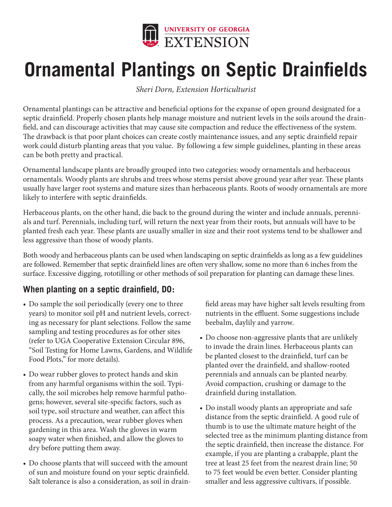

# **Ornamental Plantings on Septic Drainfields**

*Sheri Dorn, Extension Horticulturist*

Ornamental plantings can be attractive and beneficial options for the expanse of open ground designated for a septic drainfield. Properly chosen plants help manage moisture and nutrient levels in the soils around the drainfield, and can discourage activities that may cause site compaction and reduce the effectiveness of the system. The drawback is that poor plant choices can create costly maintenance issues, and any septic drainfield repair work could disturb planting areas that you value. By following a few simple guidelines, planting in these areas can be both pretty and practical.

Ornamental landscape plants are broadly grouped into two categories: woody ornamentals and herbaceous ornamentals. Woody plants are shrubs and trees whose stems persist above ground year after year. These plants usually have larger root systems and mature sizes than herbaceous plants. Roots of woody ornamentals are more likely to interfere with septic drainfields.

Herbaceous plants, on the other hand, die back to the ground during the winter and include annuals, perennials and turf. Perennials, including turf, will return the next year from their roots, but annuals will have to be planted fresh each year. These plants are usually smaller in size and their root systems tend to be shallower and less aggressive than those of woody plants.

Both woody and herbaceous plants can be used when landscaping on septic drainfields as long as a few guidelines are followed. Remember that septic drainfield lines are often very shallow, some no more than 6 inches from the surface. Excessive digging, rototilling or other methods of soil preparation for planting can damage these lines.

### **When planting on a septic drainfield, DO:**

- Do sample the soil periodically (every one to three years) to monitor soil pH and nutrient levels, correcting as necessary for plant selections. Follow the same sampling and testing procedures as for other sites (refer to UGA Cooperative Extension Circular 896, "Soil Testing for Home Lawns, Gardens, and Wildlife Food Plots," for more details).
- Do wear rubber gloves to protect hands and skin from any harmful organisms within the soil. Typically, the soil microbes help remove harmful pathogens; however, several site-specific factors, such as soil type, soil structure and weather, can affect this process. As a precaution, wear rubber gloves when gardening in this area. Wash the gloves in warm soapy water when finished, and allow the gloves to dry before putting them away.
- Do choose plants that will succeed with the amount of sun and moisture found on your septic drainfield. Salt tolerance is also a consideration, as soil in drain-

field areas may have higher salt levels resulting from nutrients in the effluent. Some suggestions include beebalm, daylily and yarrow.

- Do choose non-aggressive plants that are unlikely to invade the drain lines. Herbaceous plants can be planted closest to the drainfield, turf can be planted over the drainfield, and shallow-rooted perennials and annuals can be planted nearby. Avoid compaction, crushing or damage to the drainfield during installation.
- Do install woody plants an appropriate and safe distance from the septic drainfield. A good rule of thumb is to use the ultimate mature height of the selected tree as the minimum planting distance from the septic drainfield, then increase the distance. For example, if you are planting a crabapple, plant the tree at least 25 feet from the nearest drain line; 50 to 75 feet would be even better. Consider planting smaller and less aggressive cultivars, if possible.